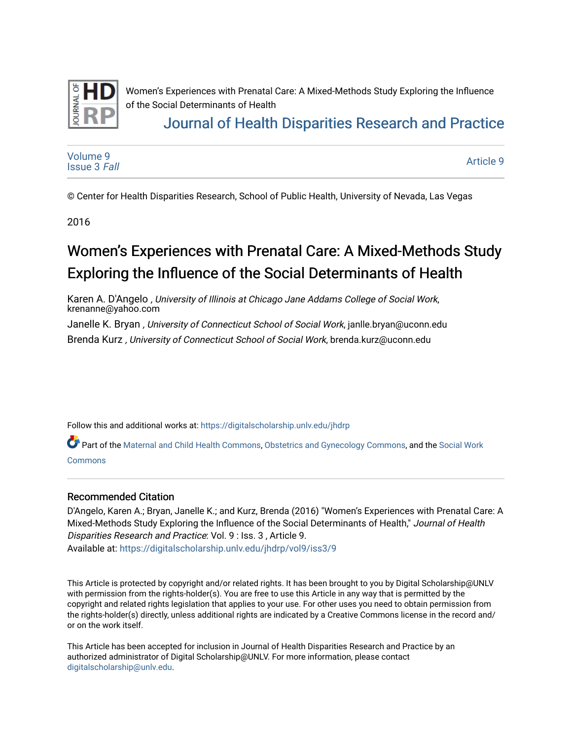

Women's Experiences with Prenatal Care: A Mixed-Methods Study Exploring the Influence of the Social Determinants of Health

## [Journal of Health Disparities Research and Practice](https://digitalscholarship.unlv.edu/jhdrp)

[Volume 9](https://digitalscholarship.unlv.edu/jhdrp/vol9) [Issue 3](https://digitalscholarship.unlv.edu/jhdrp/vol9/iss3) Fall

[Article 9](https://digitalscholarship.unlv.edu/jhdrp/vol9/iss3/9) 

© Center for Health Disparities Research, School of Public Health, University of Nevada, Las Vegas

2016

# Women's Experiences with Prenatal Care: A Mixed-Methods Study Exploring the Influence of the Social Determinants of Health

Karen A. D'Angelo , University of Illinois at Chicago Jane Addams College of Social Work, krenanne@yahoo.com

Janelle K. Bryan, University of Connecticut School of Social Work, janlle.bryan@uconn.edu

Brenda Kurz , University of Connecticut School of Social Work, brenda.kurz@uconn.edu

Follow this and additional works at: [https://digitalscholarship.unlv.edu/jhdrp](https://digitalscholarship.unlv.edu/jhdrp?utm_source=digitalscholarship.unlv.edu%2Fjhdrp%2Fvol9%2Fiss3%2F9&utm_medium=PDF&utm_campaign=PDFCoverPages) 

Part of the [Maternal and Child Health Commons](http://network.bepress.com/hgg/discipline/745?utm_source=digitalscholarship.unlv.edu%2Fjhdrp%2Fvol9%2Fiss3%2F9&utm_medium=PDF&utm_campaign=PDFCoverPages), [Obstetrics and Gynecology Commons](http://network.bepress.com/hgg/discipline/693?utm_source=digitalscholarship.unlv.edu%2Fjhdrp%2Fvol9%2Fiss3%2F9&utm_medium=PDF&utm_campaign=PDFCoverPages), and the Social Work [Commons](http://network.bepress.com/hgg/discipline/713?utm_source=digitalscholarship.unlv.edu%2Fjhdrp%2Fvol9%2Fiss3%2F9&utm_medium=PDF&utm_campaign=PDFCoverPages) 

#### Recommended Citation

D'Angelo, Karen A.; Bryan, Janelle K.; and Kurz, Brenda (2016) "Women's Experiences with Prenatal Care: A Mixed-Methods Study Exploring the Influence of the Social Determinants of Health," Journal of Health Disparities Research and Practice: Vol. 9 : Iss. 3 , Article 9. Available at: [https://digitalscholarship.unlv.edu/jhdrp/vol9/iss3/9](https://digitalscholarship.unlv.edu/jhdrp/vol9/iss3/9?utm_source=digitalscholarship.unlv.edu%2Fjhdrp%2Fvol9%2Fiss3%2F9&utm_medium=PDF&utm_campaign=PDFCoverPages)

This Article is protected by copyright and/or related rights. It has been brought to you by Digital Scholarship@UNLV with permission from the rights-holder(s). You are free to use this Article in any way that is permitted by the copyright and related rights legislation that applies to your use. For other uses you need to obtain permission from the rights-holder(s) directly, unless additional rights are indicated by a Creative Commons license in the record and/ or on the work itself.

This Article has been accepted for inclusion in Journal of Health Disparities Research and Practice by an authorized administrator of Digital Scholarship@UNLV. For more information, please contact [digitalscholarship@unlv.edu](mailto:digitalscholarship@unlv.edu).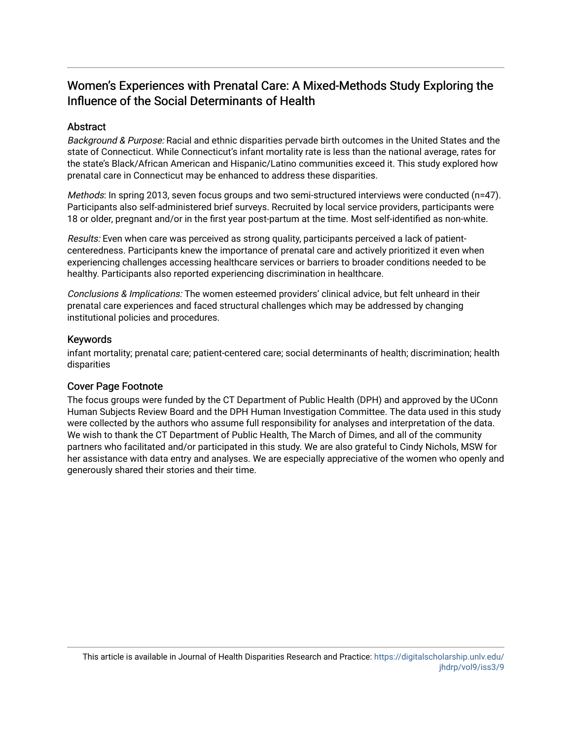## Women's Experiences with Prenatal Care: A Mixed-Methods Study Exploring the Influence of the Social Determinants of Health

#### **Abstract**

Background & Purpose: Racial and ethnic disparities pervade birth outcomes in the United States and the state of Connecticut. While Connecticut's infant mortality rate is less than the national average, rates for the state's Black/African American and Hispanic/Latino communities exceed it. This study explored how prenatal care in Connecticut may be enhanced to address these disparities.

Methods: In spring 2013, seven focus groups and two semi-structured interviews were conducted (n=47). Participants also self-administered brief surveys. Recruited by local service providers, participants were 18 or older, pregnant and/or in the first year post-partum at the time. Most self-identified as non-white.

Results: Even when care was perceived as strong quality, participants perceived a lack of patientcenteredness. Participants knew the importance of prenatal care and actively prioritized it even when experiencing challenges accessing healthcare services or barriers to broader conditions needed to be healthy. Participants also reported experiencing discrimination in healthcare.

Conclusions & Implications: The women esteemed providers' clinical advice, but felt unheard in their prenatal care experiences and faced structural challenges which may be addressed by changing institutional policies and procedures.

#### Keywords

infant mortality; prenatal care; patient-centered care; social determinants of health; discrimination; health disparities

#### Cover Page Footnote

The focus groups were funded by the CT Department of Public Health (DPH) and approved by the UConn Human Subjects Review Board and the DPH Human Investigation Committee. The data used in this study were collected by the authors who assume full responsibility for analyses and interpretation of the data. We wish to thank the CT Department of Public Health, The March of Dimes, and all of the community partners who facilitated and/or participated in this study. We are also grateful to Cindy Nichols, MSW for her assistance with data entry and analyses. We are especially appreciative of the women who openly and generously shared their stories and their time.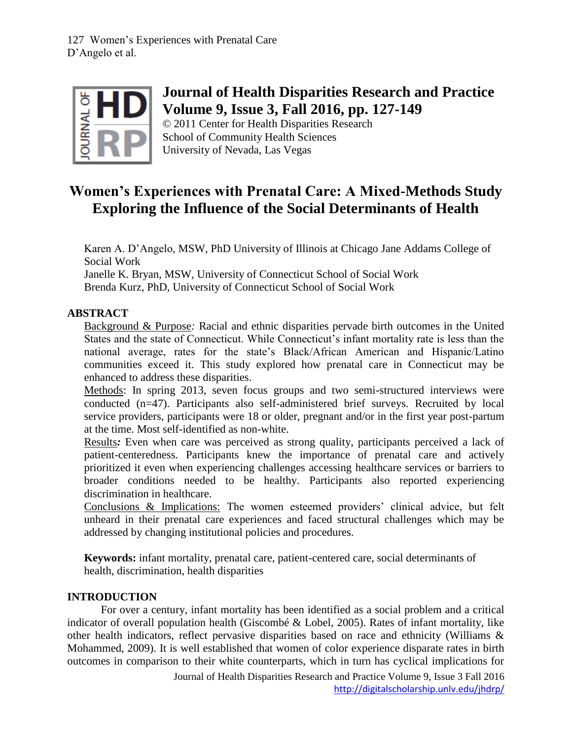

## **Journal of Health Disparities Research and Practice Volume 9, Issue 3, Fall 2016, pp. 127-149**

© 2011 Center for Health Disparities Research School of Community Health Sciences University of Nevada, Las Vegas

## **Women's Experiences with Prenatal Care: A Mixed-Methods Study Exploring the Influence of the Social Determinants of Health**

Karen A. D'Angelo, MSW, PhD University of Illinois at Chicago Jane Addams College of Social Work

Janelle K. Bryan, MSW, University of Connecticut School of Social Work Brenda Kurz, PhD, University of Connecticut School of Social Work

## **ABSTRACT**

Background & Purpose*:* Racial and ethnic disparities pervade birth outcomes in the United States and the state of Connecticut. While Connecticut's infant mortality rate is less than the national average, rates for the state's Black/African American and Hispanic/Latino communities exceed it. This study explored how prenatal care in Connecticut may be enhanced to address these disparities.

Methods: In spring 2013, seven focus groups and two semi-structured interviews were conducted (n=47). Participants also self-administered brief surveys. Recruited by local service providers, participants were 18 or older, pregnant and/or in the first year post-partum at the time. Most self-identified as non-white.

Results*:* Even when care was perceived as strong quality, participants perceived a lack of patient-centeredness. Participants knew the importance of prenatal care and actively prioritized it even when experiencing challenges accessing healthcare services or barriers to broader conditions needed to be healthy. Participants also reported experiencing discrimination in healthcare.

Conclusions & Implications: The women esteemed providers' clinical advice, but felt unheard in their prenatal care experiences and faced structural challenges which may be addressed by changing institutional policies and procedures.

**Keywords:** infant mortality, prenatal care, patient-centered care, social determinants of health, discrimination, health disparities

## **INTRODUCTION**

For over a century, infant mortality has been identified as a social problem and a critical indicator of overall population health (Giscombé & Lobel, 2005). Rates of infant mortality, like other health indicators, reflect pervasive disparities based on race and ethnicity (Williams & Mohammed, 2009). It is well established that women of color experience disparate rates in birth outcomes in comparison to their white counterparts, which in turn has cyclical implications for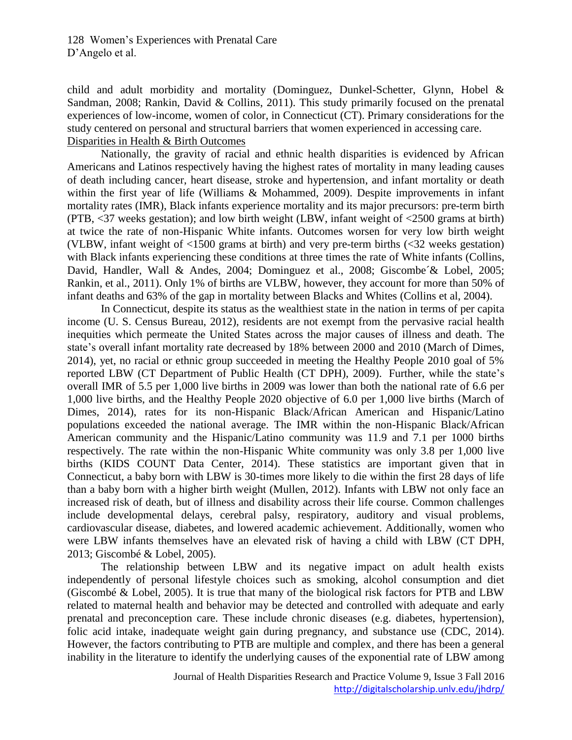child and adult morbidity and mortality (Dominguez, Dunkel-Schetter, Glynn, Hobel & Sandman, 2008; Rankin, David & Collins, 2011). This study primarily focused on the prenatal experiences of low-income, women of color, in Connecticut (CT). Primary considerations for the study centered on personal and structural barriers that women experienced in accessing care. Disparities in Health & Birth Outcomes

Nationally, the gravity of racial and ethnic health disparities is evidenced by African Americans and Latinos respectively having the highest rates of mortality in many leading causes of death including cancer, heart disease, stroke and hypertension, and infant mortality or death within the first year of life (Williams & Mohammed, 2009). Despite improvements in infant mortality rates (IMR), Black infants experience mortality and its major precursors: pre-term birth (PTB, <37 weeks gestation); and low birth weight (LBW, infant weight of <2500 grams at birth) at twice the rate of non-Hispanic White infants. Outcomes worsen for very low birth weight (VLBW, infant weight of <1500 grams at birth) and very pre-term births (<32 weeks gestation) with Black infants experiencing these conditions at three times the rate of White infants (Collins, David, Handler, Wall & Andes, 2004; Dominguez et al., 2008; Giscombe´& Lobel, 2005; Rankin, et al., 2011). Only 1% of births are VLBW, however, they account for more than 50% of infant deaths and 63% of the gap in mortality between Blacks and Whites (Collins et al, 2004).

In Connecticut, despite its status as the wealthiest state in the nation in terms of per capita income (U. S. Census Bureau, 2012), residents are not exempt from the pervasive racial health inequities which permeate the United States across the major causes of illness and death. The state's overall infant mortality rate decreased by 18% between 2000 and 2010 (March of Dimes, 2014), yet, no racial or ethnic group succeeded in meeting the Healthy People 2010 goal of 5% reported LBW (CT Department of Public Health (CT DPH), 2009). Further, while the state's overall IMR of 5.5 per 1,000 live births in 2009 was lower than both the national rate of 6.6 per 1,000 live births, and the Healthy People 2020 objective of 6.0 per 1,000 live births (March of Dimes, 2014), rates for its non-Hispanic Black/African American and Hispanic/Latino populations exceeded the national average. The IMR within the non-Hispanic Black/African American community and the Hispanic/Latino community was 11.9 and 7.1 per 1000 births respectively. The rate within the non-Hispanic White community was only 3.8 per 1,000 live births (KIDS COUNT Data Center, 2014). These statistics are important given that in Connecticut, a baby born with LBW is 30-times more likely to die within the first 28 days of life than a baby born with a higher birth weight (Mullen, 2012). Infants with LBW not only face an increased risk of death, but of illness and disability across their life course. Common challenges include developmental delays, cerebral palsy, respiratory, auditory and visual problems, cardiovascular disease, diabetes, and lowered academic achievement. Additionally, women who were LBW infants themselves have an elevated risk of having a child with LBW (CT DPH, 2013; Giscombé & Lobel, 2005).

The relationship between LBW and its negative impact on adult health exists independently of personal lifestyle choices such as smoking, alcohol consumption and diet (Giscombé & Lobel, 2005). It is true that many of the biological risk factors for PTB and LBW related to maternal health and behavior may be detected and controlled with adequate and early prenatal and preconception care. These include chronic diseases (e.g. diabetes, hypertension), folic acid intake, inadequate weight gain during pregnancy, and substance use (CDC, 2014). However, the factors contributing to PTB are multiple and complex, and there has been a general inability in the literature to identify the underlying causes of the exponential rate of LBW among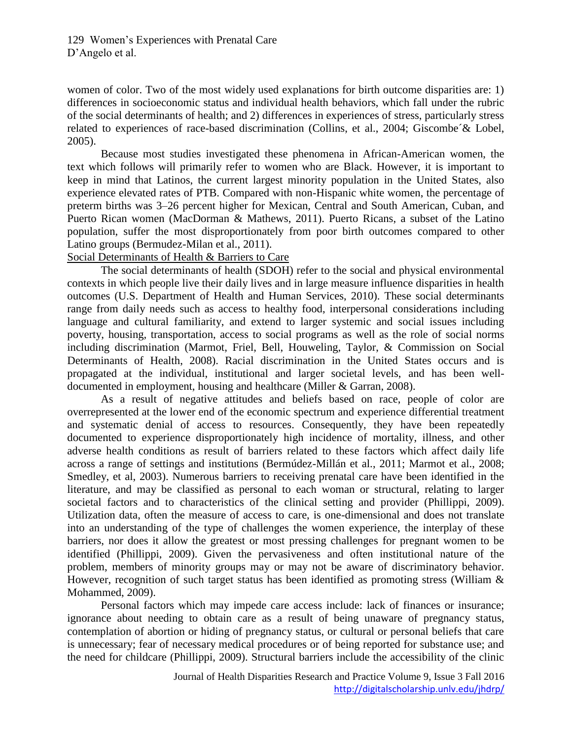women of color. Two of the most widely used explanations for birth outcome disparities are: 1) differences in socioeconomic status and individual health behaviors, which fall under the rubric of the social determinants of health; and 2) differences in experiences of stress, particularly stress related to experiences of race-based discrimination (Collins, et al., 2004; Giscombe´& Lobel, 2005).

Because most studies investigated these phenomena in African-American women, the text which follows will primarily refer to women who are Black. However, it is important to keep in mind that Latinos, the current largest minority population in the United States, also experience elevated rates of PTB. Compared with non-Hispanic white women, the percentage of preterm births was 3–26 percent higher for Mexican, Central and South American, Cuban, and Puerto Rican women (MacDorman & Mathews, 2011). Puerto Ricans, a subset of the Latino population, suffer the most disproportionately from poor birth outcomes compared to other Latino groups (Bermudez-Milan et al., 2011).

Social Determinants of Health & Barriers to Care

The social determinants of health (SDOH) refer to the social and physical environmental contexts in which people live their daily lives and in large measure influence disparities in health outcomes (U.S. Department of Health and Human Services, 2010). These social determinants range from daily needs such as access to healthy food, interpersonal considerations including language and cultural familiarity, and extend to larger systemic and social issues including poverty, housing, transportation, access to social programs as well as the role of social norms including discrimination (Marmot, Friel, Bell, Houweling, Taylor, & Commission on Social Determinants of Health, 2008). Racial discrimination in the United States occurs and is propagated at the individual, institutional and larger societal levels, and has been welldocumented in employment, housing and healthcare (Miller & Garran, 2008).

As a result of negative attitudes and beliefs based on race, people of color are overrepresented at the lower end of the economic spectrum and experience differential treatment and systematic denial of access to resources. Consequently, they have been repeatedly documented to experience disproportionately high incidence of mortality, illness, and other adverse health conditions as result of barriers related to these factors which affect daily life across a range of settings and institutions (Bermúdez-Millán et al., 2011; Marmot et al., 2008; Smedley, et al, 2003). Numerous barriers to receiving prenatal care have been identified in the literature, and may be classified as personal to each woman or structural, relating to larger societal factors and to characteristics of the clinical setting and provider (Phillippi, 2009). Utilization data, often the measure of access to care, is one-dimensional and does not translate into an understanding of the type of challenges the women experience, the interplay of these barriers, nor does it allow the greatest or most pressing challenges for pregnant women to be identified (Phillippi, 2009). Given the pervasiveness and often institutional nature of the problem, members of minority groups may or may not be aware of discriminatory behavior. However, recognition of such target status has been identified as promoting stress (William & Mohammed, 2009).

Personal factors which may impede care access include: lack of finances or insurance; ignorance about needing to obtain care as a result of being unaware of pregnancy status, contemplation of abortion or hiding of pregnancy status, or cultural or personal beliefs that care is unnecessary; fear of necessary medical procedures or of being reported for substance use; and the need for childcare (Phillippi, 2009). Structural barriers include the accessibility of the clinic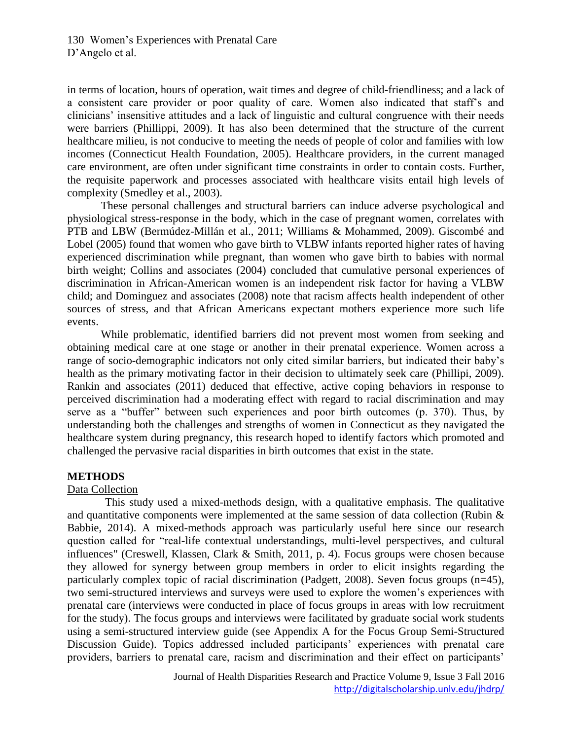in terms of location, hours of operation, wait times and degree of child-friendliness; and a lack of a consistent care provider or poor quality of care. Women also indicated that staff's and clinicians' insensitive attitudes and a lack of linguistic and cultural congruence with their needs were barriers (Phillippi, 2009). It has also been determined that the structure of the current healthcare milieu, is not conducive to meeting the needs of people of color and families with low incomes (Connecticut Health Foundation, 2005). Healthcare providers, in the current managed care environment, are often under significant time constraints in order to contain costs. Further, the requisite paperwork and processes associated with healthcare visits entail high levels of complexity (Smedley et al., 2003).

These personal challenges and structural barriers can induce adverse psychological and physiological stress-response in the body, which in the case of pregnant women, correlates with PTB and LBW (Bermúdez-Millán et al., 2011; Williams & Mohammed, 2009). Giscombé and Lobel (2005) found that women who gave birth to VLBW infants reported higher rates of having experienced discrimination while pregnant, than women who gave birth to babies with normal birth weight; Collins and associates (2004) concluded that cumulative personal experiences of discrimination in African-American women is an independent risk factor for having a VLBW child; and Dominguez and associates (2008) note that racism affects health independent of other sources of stress, and that African Americans expectant mothers experience more such life events.

While problematic, identified barriers did not prevent most women from seeking and obtaining medical care at one stage or another in their prenatal experience. Women across a range of socio-demographic indicators not only cited similar barriers, but indicated their baby's health as the primary motivating factor in their decision to ultimately seek care (Phillipi, 2009). Rankin and associates (2011) deduced that effective, active coping behaviors in response to perceived discrimination had a moderating effect with regard to racial discrimination and may serve as a "buffer" between such experiences and poor birth outcomes (p. 370). Thus, by understanding both the challenges and strengths of women in Connecticut as they navigated the healthcare system during pregnancy, this research hoped to identify factors which promoted and challenged the pervasive racial disparities in birth outcomes that exist in the state.

#### **METHODS**

#### Data Collection

This study used a mixed-methods design, with a qualitative emphasis. The qualitative and quantitative components were implemented at the same session of data collection (Rubin & Babbie, 2014). A mixed-methods approach was particularly useful here since our research question called for "real-life contextual understandings, multi-level perspectives, and cultural influences" (Creswell, Klassen, Clark & Smith, 2011, p. 4). Focus groups were chosen because they allowed for synergy between group members in order to elicit insights regarding the particularly complex topic of racial discrimination (Padgett, 2008). Seven focus groups (n=45), two semi-structured interviews and surveys were used to explore the women's experiences with prenatal care (interviews were conducted in place of focus groups in areas with low recruitment for the study). The focus groups and interviews were facilitated by graduate social work students using a semi-structured interview guide (see Appendix A for the Focus Group Semi-Structured Discussion Guide). Topics addressed included participants' experiences with prenatal care providers, barriers to prenatal care, racism and discrimination and their effect on participants'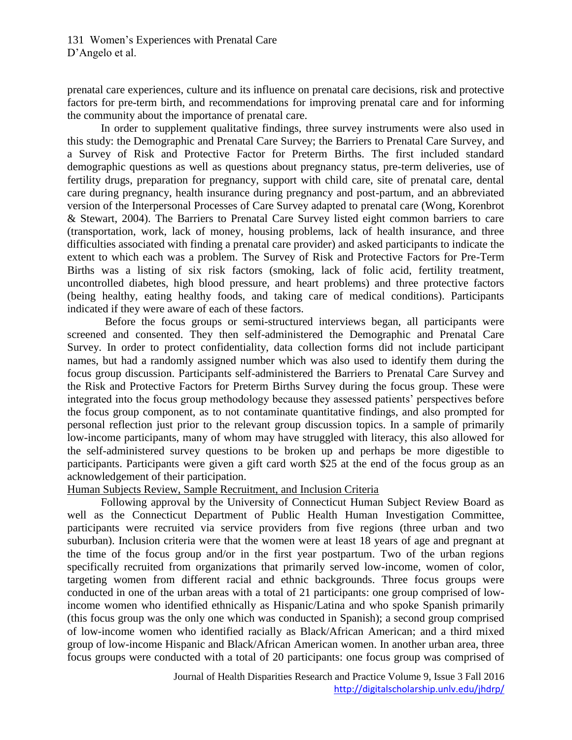prenatal care experiences, culture and its influence on prenatal care decisions, risk and protective factors for pre-term birth, and recommendations for improving prenatal care and for informing the community about the importance of prenatal care.

In order to supplement qualitative findings, three survey instruments were also used in this study: the Demographic and Prenatal Care Survey; the Barriers to Prenatal Care Survey, and a Survey of Risk and Protective Factor for Preterm Births. The first included standard demographic questions as well as questions about pregnancy status, pre-term deliveries, use of fertility drugs, preparation for pregnancy, support with child care, site of prenatal care, dental care during pregnancy, health insurance during pregnancy and post-partum, and an abbreviated version of the Interpersonal Processes of Care Survey adapted to prenatal care (Wong, Korenbrot & Stewart, 2004). The Barriers to Prenatal Care Survey listed eight common barriers to care (transportation, work, lack of money, housing problems, lack of health insurance, and three difficulties associated with finding a prenatal care provider) and asked participants to indicate the extent to which each was a problem. The Survey of Risk and Protective Factors for Pre-Term Births was a listing of six risk factors (smoking, lack of folic acid, fertility treatment, uncontrolled diabetes, high blood pressure, and heart problems) and three protective factors (being healthy, eating healthy foods, and taking care of medical conditions). Participants indicated if they were aware of each of these factors.

Before the focus groups or semi-structured interviews began, all participants were screened and consented. They then self-administered the Demographic and Prenatal Care Survey. In order to protect confidentiality, data collection forms did not include participant names, but had a randomly assigned number which was also used to identify them during the focus group discussion. Participants self-administered the Barriers to Prenatal Care Survey and the Risk and Protective Factors for Preterm Births Survey during the focus group. These were integrated into the focus group methodology because they assessed patients' perspectives before the focus group component, as to not contaminate quantitative findings, and also prompted for personal reflection just prior to the relevant group discussion topics. In a sample of primarily low-income participants, many of whom may have struggled with literacy, this also allowed for the self-administered survey questions to be broken up and perhaps be more digestible to participants. Participants were given a gift card worth \$25 at the end of the focus group as an acknowledgement of their participation.

#### Human Subjects Review, Sample Recruitment, and Inclusion Criteria

Following approval by the University of Connecticut Human Subject Review Board as well as the Connecticut Department of Public Health Human Investigation Committee, participants were recruited via service providers from five regions (three urban and two suburban). Inclusion criteria were that the women were at least 18 years of age and pregnant at the time of the focus group and/or in the first year postpartum. Two of the urban regions specifically recruited from organizations that primarily served low-income, women of color, targeting women from different racial and ethnic backgrounds. Three focus groups were conducted in one of the urban areas with a total of 21 participants: one group comprised of lowincome women who identified ethnically as Hispanic/Latina and who spoke Spanish primarily (this focus group was the only one which was conducted in Spanish); a second group comprised of low-income women who identified racially as Black/African American; and a third mixed group of low-income Hispanic and Black/African American women. In another urban area, three focus groups were conducted with a total of 20 participants: one focus group was comprised of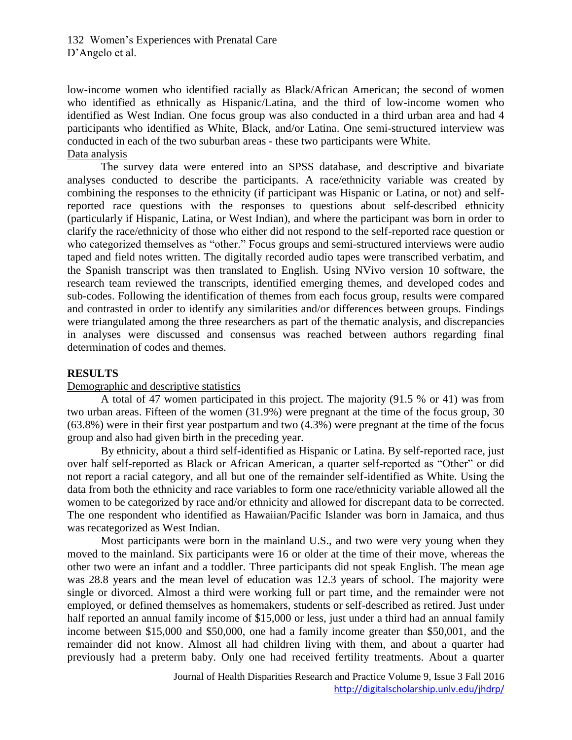low-income women who identified racially as Black/African American; the second of women who identified as ethnically as Hispanic/Latina, and the third of low-income women who identified as West Indian. One focus group was also conducted in a third urban area and had 4 participants who identified as White, Black, and/or Latina. One semi-structured interview was conducted in each of the two suburban areas - these two participants were White. Data analysis

The survey data were entered into an SPSS database, and descriptive and bivariate analyses conducted to describe the participants. A race/ethnicity variable was created by combining the responses to the ethnicity (if participant was Hispanic or Latina, or not) and selfreported race questions with the responses to questions about self-described ethnicity (particularly if Hispanic, Latina, or West Indian), and where the participant was born in order to clarify the race/ethnicity of those who either did not respond to the self-reported race question or who categorized themselves as "other." Focus groups and semi-structured interviews were audio taped and field notes written. The digitally recorded audio tapes were transcribed verbatim, and the Spanish transcript was then translated to English. Using NVivo version 10 software, the research team reviewed the transcripts, identified emerging themes, and developed codes and sub-codes. Following the identification of themes from each focus group, results were compared and contrasted in order to identify any similarities and/or differences between groups. Findings were triangulated among the three researchers as part of the thematic analysis, and discrepancies in analyses were discussed and consensus was reached between authors regarding final determination of codes and themes.

#### **RESULTS**

#### Demographic and descriptive statistics

A total of 47 women participated in this project. The majority (91.5 % or 41) was from two urban areas. Fifteen of the women (31.9%) were pregnant at the time of the focus group, 30 (63.8%) were in their first year postpartum and two (4.3%) were pregnant at the time of the focus group and also had given birth in the preceding year.

By ethnicity, about a third self-identified as Hispanic or Latina. By self-reported race, just over half self-reported as Black or African American, a quarter self-reported as "Other" or did not report a racial category, and all but one of the remainder self-identified as White. Using the data from both the ethnicity and race variables to form one race/ethnicity variable allowed all the women to be categorized by race and/or ethnicity and allowed for discrepant data to be corrected. The one respondent who identified as Hawaiian/Pacific Islander was born in Jamaica, and thus was recategorized as West Indian.

Most participants were born in the mainland U.S., and two were very young when they moved to the mainland. Six participants were 16 or older at the time of their move, whereas the other two were an infant and a toddler. Three participants did not speak English. The mean age was 28.8 years and the mean level of education was 12.3 years of school. The majority were single or divorced. Almost a third were working full or part time, and the remainder were not employed, or defined themselves as homemakers, students or self-described as retired. Just under half reported an annual family income of \$15,000 or less, just under a third had an annual family income between \$15,000 and \$50,000, one had a family income greater than \$50,001, and the remainder did not know. Almost all had children living with them, and about a quarter had previously had a preterm baby. Only one had received fertility treatments. About a quarter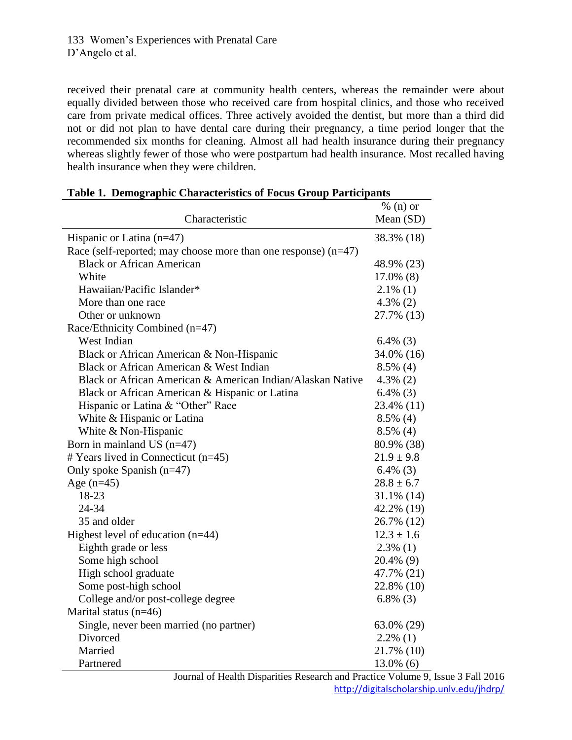received their prenatal care at community health centers, whereas the remainder were about equally divided between those who received care from hospital clinics, and those who received care from private medical offices. Three actively avoided the dentist, but more than a third did not or did not plan to have dental care during their pregnancy, a time period longer that the recommended six months for cleaning. Almost all had health insurance during their pregnancy whereas slightly fewer of those who were postpartum had health insurance. Most recalled having health insurance when they were children.

| <b>Table 1. Demographic Characteristics of Focus Group Participants</b> |                |  |  |  |  |  |
|-------------------------------------------------------------------------|----------------|--|--|--|--|--|
|                                                                         | $% (n)$ or     |  |  |  |  |  |
| Characteristic                                                          | Mean (SD)      |  |  |  |  |  |
| Hispanic or Latina $(n=47)$                                             | 38.3% (18)     |  |  |  |  |  |
| Race (self-reported; may choose more than one response) $(n=47)$        |                |  |  |  |  |  |
| <b>Black or African American</b>                                        | 48.9% (23)     |  |  |  |  |  |
| White                                                                   | $17.0\%$ (8)   |  |  |  |  |  |
| Hawaiian/Pacific Islander*                                              | $2.1\%$ (1)    |  |  |  |  |  |
| More than one race                                                      | $4.3\%$ (2)    |  |  |  |  |  |
| Other or unknown                                                        | 27.7% (13)     |  |  |  |  |  |
| Race/Ethnicity Combined (n=47)                                          |                |  |  |  |  |  |
| West Indian                                                             | $6.4\%$ (3)    |  |  |  |  |  |
| Black or African American & Non-Hispanic                                | 34.0% (16)     |  |  |  |  |  |
| Black or African American & West Indian                                 | $8.5\%$ (4)    |  |  |  |  |  |
| Black or African American & American Indian/Alaskan Native              | $4.3\%$ (2)    |  |  |  |  |  |
| Black or African American & Hispanic or Latina                          | $6.4\%$ (3)    |  |  |  |  |  |
| Hispanic or Latina & "Other" Race                                       | 23.4% (11)     |  |  |  |  |  |
| White & Hispanic or Latina                                              | $8.5\%$ (4)    |  |  |  |  |  |
| White & Non-Hispanic                                                    | $8.5\%$ (4)    |  |  |  |  |  |
| Born in mainland US $(n=47)$                                            | 80.9% (38)     |  |  |  |  |  |
| # Years lived in Connecticut (n=45)                                     | $21.9 \pm 9.8$ |  |  |  |  |  |
| Only spoke Spanish $(n=47)$                                             | $6.4\%$ (3)    |  |  |  |  |  |
| Age $(n=45)$                                                            | $28.8 \pm 6.7$ |  |  |  |  |  |
| 18-23                                                                   | $31.1\%$ (14)  |  |  |  |  |  |
| 24-34                                                                   | 42.2% (19)     |  |  |  |  |  |
| 35 and older                                                            | 26.7% (12)     |  |  |  |  |  |
| Highest level of education (n=44)                                       | $12.3 \pm 1.6$ |  |  |  |  |  |
| Eighth grade or less                                                    | $2.3\%$ (1)    |  |  |  |  |  |
| Some high school                                                        | 20.4% (9)      |  |  |  |  |  |
| High school graduate                                                    | 47.7% (21)     |  |  |  |  |  |
| Some post-high school                                                   | 22.8% (10)     |  |  |  |  |  |
| College and/or post-college degree                                      | $6.8\%$ (3)    |  |  |  |  |  |
| Marital status $(n=46)$                                                 |                |  |  |  |  |  |
| Single, never been married (no partner)                                 | 63.0% (29)     |  |  |  |  |  |
| Divorced                                                                | $2.2\%$ (1)    |  |  |  |  |  |
| Married                                                                 | 21.7% (10)     |  |  |  |  |  |
| Partnered                                                               | $13.0\%$ (6)   |  |  |  |  |  |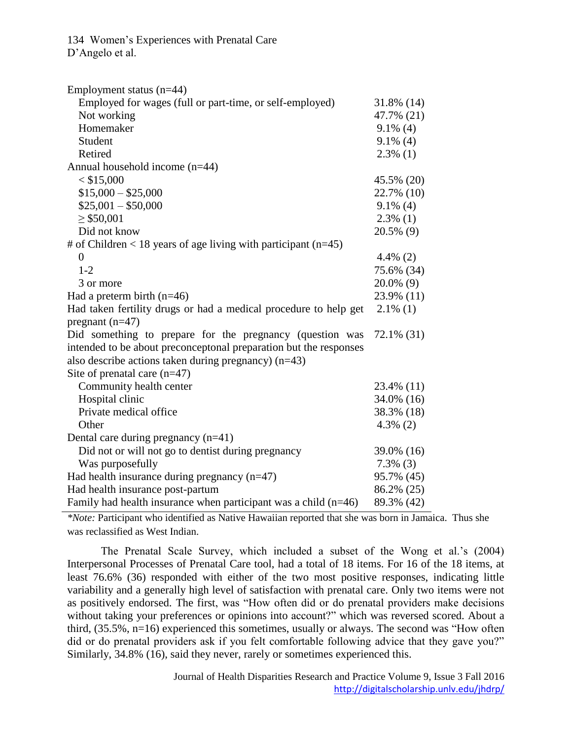| Employment status $(n=44)$                                        |              |
|-------------------------------------------------------------------|--------------|
| Employed for wages (full or part-time, or self-employed)          | 31.8% (14)   |
| Not working                                                       | 47.7% (21)   |
| Homemaker                                                         | $9.1\%$ (4)  |
| Student                                                           | $9.1\%$ (4)  |
| Retired                                                           | $2.3\%$ (1)  |
| Annual household income (n=44)                                    |              |
| $<$ \$15,000                                                      | 45.5% (20)   |
| $$15,000 - $25,000$                                               | 22.7% (10)   |
| $$25,001 - $50,000$                                               | $9.1\%$ (4)  |
| $\geq$ \$50,001                                                   | $2.3\%$ (1)  |
| Did not know                                                      | 20.5% (9)    |
| # of Children < 18 years of age living with participant $(n=45)$  |              |
| $\theta$                                                          | $4.4\%$ (2)  |
| $1 - 2$                                                           | 75.6% (34)   |
| 3 or more                                                         | $20.0\%$ (9) |
| Had a preterm birth $(n=46)$                                      | 23.9% (11)   |
| Had taken fertility drugs or had a medical procedure to help get  | $2.1\%$ (1)  |
| pregnant $(n=47)$                                                 |              |
| Did something to prepare for the pregnancy (question was          | 72.1% (31)   |
| intended to be about preconceptonal preparation but the responses |              |
| also describe actions taken during pregnancy) $(n=43)$            |              |
| Site of prenatal care $(n=47)$                                    |              |
| Community health center                                           | 23.4% (11)   |
| Hospital clinic                                                   | 34.0% (16)   |
| Private medical office                                            | 38.3% (18)   |
| Other                                                             | $4.3\%$ (2)  |
| Dental care during pregnancy $(n=41)$                             |              |
| Did not or will not go to dentist during pregnancy                | 39.0% (16)   |
| Was purposefully                                                  | $7.3\%$ (3)  |
| Had health insurance during pregnancy $(n=47)$                    | 95.7% (45)   |
| Had health insurance post-partum                                  | 86.2% (25)   |
| Family had health insurance when participant was a child $(n=46)$ | 89.3% (42)   |

*\*Note:* Participant who identified as Native Hawaiian reported that she was born in Jamaica. Thus she was reclassified as West Indian.

The Prenatal Scale Survey, which included a subset of the Wong et al.'s (2004) Interpersonal Processes of Prenatal Care tool, had a total of 18 items. For 16 of the 18 items, at least 76.6% (36) responded with either of the two most positive responses, indicating little variability and a generally high level of satisfaction with prenatal care. Only two items were not as positively endorsed. The first, was "How often did or do prenatal providers make decisions without taking your preferences or opinions into account?" which was reversed scored. About a third, (35.5%, n=16) experienced this sometimes, usually or always. The second was "How often did or do prenatal providers ask if you felt comfortable following advice that they gave you?" Similarly, 34.8% (16), said they never, rarely or sometimes experienced this.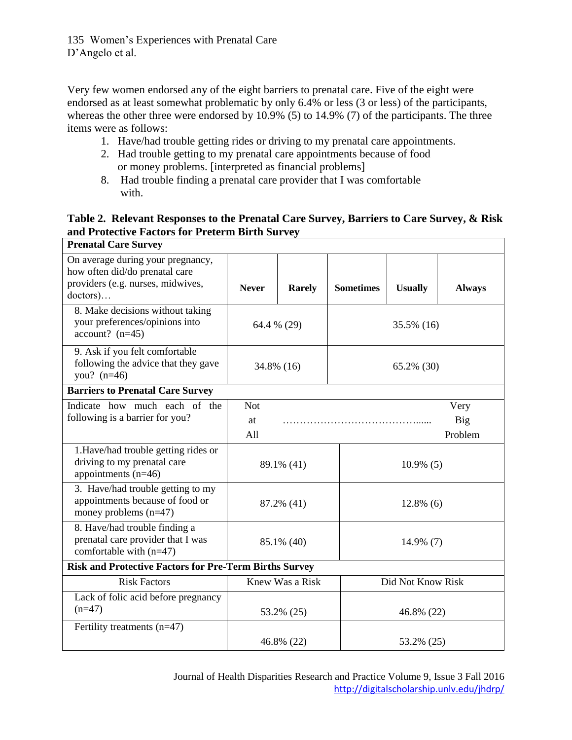Very few women endorsed any of the eight barriers to prenatal care. Five of the eight were endorsed as at least somewhat problematic by only 6.4% or less (3 or less) of the participants, whereas the other three were endorsed by 10.9% (5) to 14.9% (7) of the participants. The three items were as follows:

- 1. Have/had trouble getting rides or driving to my prenatal care appointments.
- 2. Had trouble getting to my prenatal care appointments because of food or money problems. [interpreted as financial problems]
- 8. Had trouble finding a prenatal care provider that I was comfortable with.

## **Table 2. Relevant Responses to the Prenatal Care Survey, Barriers to Care Survey, & Risk and Protective Factors for Preterm Birth Survey**

| <b>Prenatal Care Survey</b>                                                                                                  |                                                          |               |                  |                   |               |  |  |
|------------------------------------------------------------------------------------------------------------------------------|----------------------------------------------------------|---------------|------------------|-------------------|---------------|--|--|
| On average during your pregnancy,<br>how often did/do prenatal care<br>providers (e.g. nurses, midwives,<br>$doctors) \dots$ | <b>Never</b>                                             | <b>Rarely</b> | <b>Sometimes</b> | <b>Usually</b>    | <b>Always</b> |  |  |
| 8. Make decisions without taking<br>your preferences/opinions into<br>$account?$ (n=45)                                      | 64.4 % (29)                                              |               | 35.5% (16)       |                   |               |  |  |
| 9. Ask if you felt comfortable<br>following the advice that they gave<br>you? $(n=46)$                                       | 34.8% (16)                                               |               | 65.2% (30)       |                   |               |  |  |
| <b>Barriers to Prenatal Care Survey</b>                                                                                      |                                                          |               |                  |                   |               |  |  |
| Indicate how much each of the<br>following is a barrier for you?                                                             | <b>Not</b><br>Very<br><b>Big</b><br>at<br>Problem<br>All |               |                  |                   |               |  |  |
| 1.Have/had trouble getting rides or<br>driving to my prenatal care<br>appointments $(n=46)$                                  | 89.1% (41)                                               |               |                  | $10.9\%$ (5)      |               |  |  |
| 3. Have/had trouble getting to my<br>appointments because of food or<br>money problems $(n=47)$                              | 87.2% (41)                                               |               | $12.8\%$ (6)     |                   |               |  |  |
| 8. Have/had trouble finding a<br>prenatal care provider that I was<br>comfortable with (n=47)                                | 85.1% (40)                                               |               | 14.9% (7)        |                   |               |  |  |
| <b>Risk and Protective Factors for Pre-Term Births Survey</b>                                                                |                                                          |               |                  |                   |               |  |  |
| <b>Risk Factors</b>                                                                                                          | Knew Was a Risk                                          |               |                  | Did Not Know Risk |               |  |  |
| Lack of folic acid before pregnancy<br>$(n=47)$                                                                              | 53.2% (25)                                               |               | 46.8% (22)       |                   |               |  |  |
| Fertility treatments (n=47)                                                                                                  | 46.8% (22)                                               |               |                  | 53.2% (25)        |               |  |  |
|                                                                                                                              |                                                          |               |                  |                   |               |  |  |

Journal of Health Disparities Research and Practice Volume 9, Issue 3 Fall 2016 <http://digitalscholarship.unlv.edu/jhdrp/>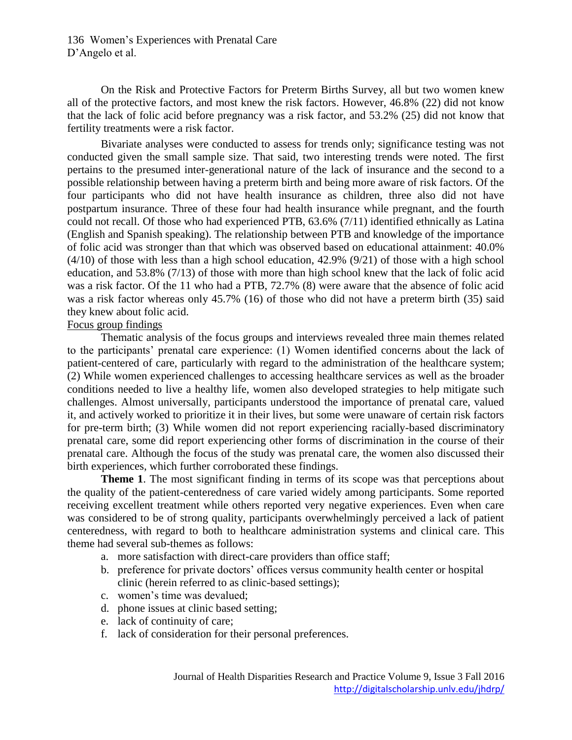On the Risk and Protective Factors for Preterm Births Survey, all but two women knew all of the protective factors, and most knew the risk factors. However, 46.8% (22) did not know that the lack of folic acid before pregnancy was a risk factor, and 53.2% (25) did not know that fertility treatments were a risk factor.

Bivariate analyses were conducted to assess for trends only; significance testing was not conducted given the small sample size. That said, two interesting trends were noted. The first pertains to the presumed inter-generational nature of the lack of insurance and the second to a possible relationship between having a preterm birth and being more aware of risk factors. Of the four participants who did not have health insurance as children, three also did not have postpartum insurance. Three of these four had health insurance while pregnant, and the fourth could not recall. Of those who had experienced PTB, 63.6% (7/11) identified ethnically as Latina (English and Spanish speaking). The relationship between PTB and knowledge of the importance of folic acid was stronger than that which was observed based on educational attainment: 40.0% (4/10) of those with less than a high school education, 42.9% (9/21) of those with a high school education, and 53.8% (7/13) of those with more than high school knew that the lack of folic acid was a risk factor. Of the 11 who had a PTB, 72.7% (8) were aware that the absence of folic acid was a risk factor whereas only 45.7% (16) of those who did not have a preterm birth (35) said they knew about folic acid.

#### Focus group findings

Thematic analysis of the focus groups and interviews revealed three main themes related to the participants' prenatal care experience: (1) Women identified concerns about the lack of patient-centered of care, particularly with regard to the administration of the healthcare system; (2) While women experienced challenges to accessing healthcare services as well as the broader conditions needed to live a healthy life, women also developed strategies to help mitigate such challenges. Almost universally, participants understood the importance of prenatal care, valued it, and actively worked to prioritize it in their lives, but some were unaware of certain risk factors for pre-term birth; (3) While women did not report experiencing racially-based discriminatory prenatal care, some did report experiencing other forms of discrimination in the course of their prenatal care. Although the focus of the study was prenatal care, the women also discussed their birth experiences, which further corroborated these findings.

**Theme 1.** The most significant finding in terms of its scope was that perceptions about the quality of the patient-centeredness of care varied widely among participants. Some reported receiving excellent treatment while others reported very negative experiences. Even when care was considered to be of strong quality, participants overwhelmingly perceived a lack of patient centeredness, with regard to both to healthcare administration systems and clinical care. This theme had several sub-themes as follows:

- a. more satisfaction with direct-care providers than office staff;
- b. preference for private doctors' offices versus community health center or hospital clinic (herein referred to as clinic-based settings);
- c. women's time was devalued;
- d. phone issues at clinic based setting;
- e. lack of continuity of care;
- f. lack of consideration for their personal preferences.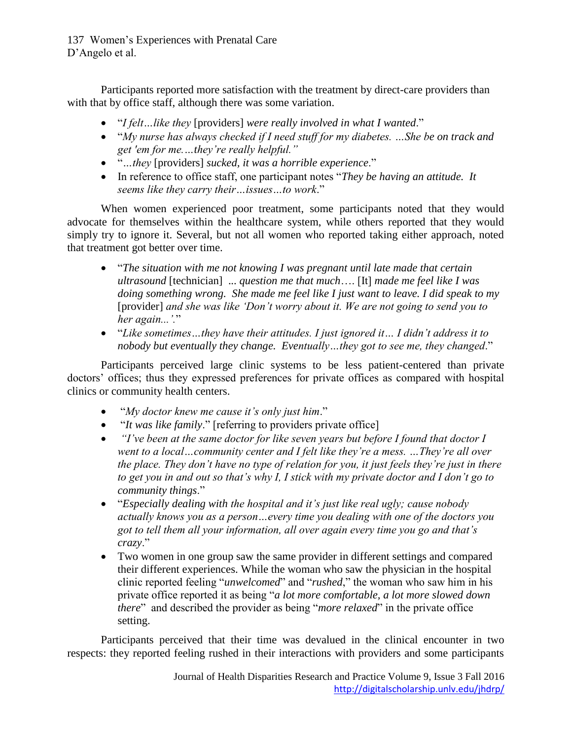Participants reported more satisfaction with the treatment by direct-care providers than with that by office staff, although there was some variation.

- "*I felt…like they* [providers] *were really involved in what I wanted*."
- "*My nurse has always checked if I need stuff for my diabetes. …She be on track and get 'em for me.…they're really helpful."*
- "*…they* [providers] *sucked, it was a horrible experience*."
- In reference to office staff, one participant notes "*They be having an attitude. It seems like they carry their…issues…to work*."

When women experienced poor treatment, some participants noted that they would advocate for themselves within the healthcare system, while others reported that they would simply try to ignore it. Several, but not all women who reported taking either approach, noted that treatment got better over time.

- "*The situation with me not knowing I was pregnant until late made that certain ultrasound* [technician] ... *question me that much*…. [It] *made me feel like I was doing something wrong. She made me feel like I just want to leave. I did speak to my* [provider] *and she was like 'Don't worry about it. We are not going to send you to her again...'.*"
- "*Like sometimes…they have their attitudes. I just ignored it… I didn't address it to nobody but eventually they change. Eventually…they got to see me, they changed*."

Participants perceived large clinic systems to be less patient-centered than private doctors' offices; thus they expressed preferences for private offices as compared with hospital clinics or community health centers.

- "*My doctor knew me cause it's only just him*."
- "*It was like family*." [referring to providers private office]
- *"I've been at the same doctor for like seven years but before I found that doctor I went to a local…community center and I felt like they're a mess. …They're all over the place. They don't have no type of relation for you, it just feels they're just in there to get you in and out so that's why I, I stick with my private doctor and I don't go to community things*."
- "*Especially dealing with the hospital and it's just like real ugly; cause nobody actually knows you as a person…every time you dealing with one of the doctors you got to tell them all your information, all over again every time you go and that's crazy*."
- Two women in one group saw the same provider in different settings and compared their different experiences. While the woman who saw the physician in the hospital clinic reported feeling "*unwelcomed*" and "*rushed*," the woman who saw him in his private office reported it as being "*a lot more comfortable, a lot more slowed down there*" and described the provider as being "*more relaxed*" in the private office setting.

Participants perceived that their time was devalued in the clinical encounter in two respects: they reported feeling rushed in their interactions with providers and some participants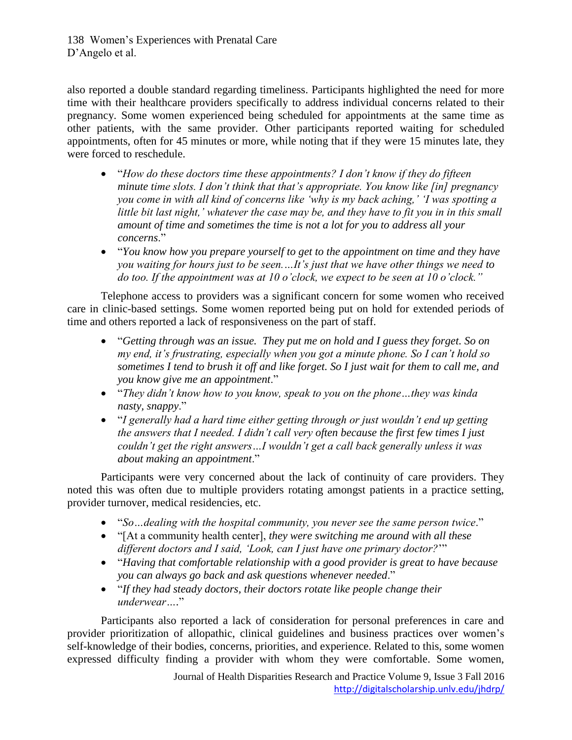also reported a double standard regarding timeliness. Participants highlighted the need for more time with their healthcare providers specifically to address individual concerns related to their pregnancy. Some women experienced being scheduled for appointments at the same time as other patients, with the same provider. Other participants reported waiting for scheduled appointments, often for 45 minutes or more, while noting that if they were 15 minutes late, they were forced to reschedule.

- "*How do these doctors time these appointments? I don't know if they do fifteen minute time slots. I don't think that that's appropriate. You know like [in] pregnancy you come in with all kind of concerns like 'why is my back aching,' 'I was spotting a little bit last night,' whatever the case may be, and they have to fit you in in this small amount of time and sometimes the time is not a lot for you to address all your concerns*."
- "*You know how you prepare yourself to get to the appointment on time and they have you waiting for hours just to be seen.…It's just that we have other things we need to do too. If the appointment was at 10 o'clock, we expect to be seen at 10 o'clock."*

Telephone access to providers was a significant concern for some women who received care in clinic-based settings. Some women reported being put on hold for extended periods of time and others reported a lack of responsiveness on the part of staff.

- "*Getting through was an issue. They put me on hold and I guess they forget. So on my end, it's frustrating, especially when you got a minute phone. So I can't hold so sometimes I tend to brush it off and like forget. So I just wait for them to call me, and you know give me an appointment*."
- "*They didn't know how to you know, speak to you on the phone…they was kinda nasty, snappy*."
- "*I generally had a hard time either getting through or just wouldn't end up getting the answers that I needed. I didn't call very often because the first few times I just couldn't get the right answers…I wouldn't get a call back generally unless it was about making an appointment*."

Participants were very concerned about the lack of continuity of care providers. They noted this was often due to multiple providers rotating amongst patients in a practice setting, provider turnover, medical residencies, etc.

- "*So…dealing with the hospital community, you never see the same person twice*."
- "[At a community health center], *they were switching me around with all these different doctors and I said, 'Look, can I just have one primary doctor?*'"
- "*Having that comfortable relationship with a good provider is great to have because you can always go back and ask questions whenever needed*."
- "*If they had steady doctors, their doctors rotate like people change their underwear….*"

Participants also reported a lack of consideration for personal preferences in care and provider prioritization of allopathic, clinical guidelines and business practices over women's self-knowledge of their bodies, concerns, priorities, and experience. Related to this, some women expressed difficulty finding a provider with whom they were comfortable. Some women,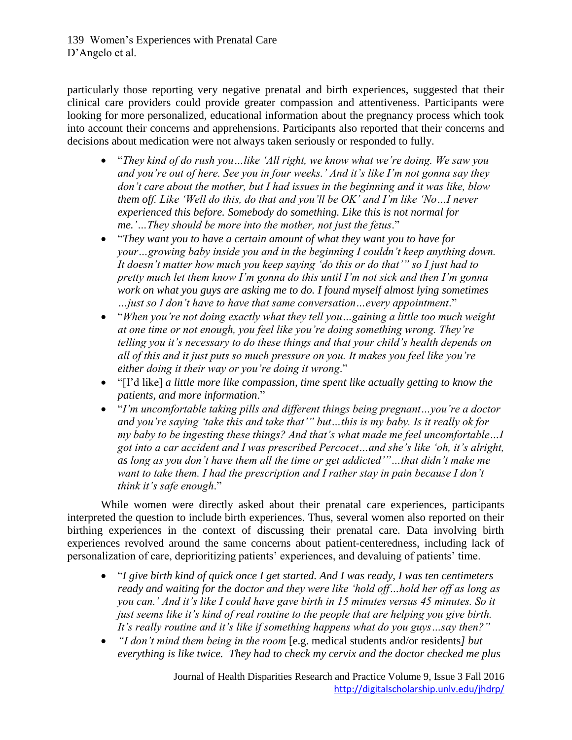particularly those reporting very negative prenatal and birth experiences, suggested that their clinical care providers could provide greater compassion and attentiveness. Participants were looking for more personalized, educational information about the pregnancy process which took into account their concerns and apprehensions. Participants also reported that their concerns and decisions about medication were not always taken seriously or responded to fully.

- "*They kind of do rush you…like 'All right, we know what we're doing. We saw you and you're out of here. See you in four weeks.' And it's like I'm not gonna say they don't care about the mother, but I had issues in the beginning and it was like, blow them off. Like 'Well do this, do that and you'll be OK' and I'm like 'No…I never experienced this before. Somebody do something. Like this is not normal for me.'…They should be more into the mother, not just the fetus*."
- "*They want you to have a certain amount of what they want you to have for your…growing baby inside you and in the beginning I couldn't keep anything down. It doesn't matter how much you keep saying 'do this or do that'" so I just had to pretty much let them know I'm gonna do this until I'm not sick and then I'm gonna work on what you guys are asking me to do. I found myself almost lying sometimes …just so I don't have to have that same conversation…every appointment*."
- "*When you're not doing exactly what they tell you…gaining a little too much weight at one time or not enough, you feel like you're doing something wrong. They're telling you it's necessary to do these things and that your child's health depends on all of this and it just puts so much pressure on you. It makes you feel like you're either doing it their way or you're doing it wrong*."
- "[I'd like] *a little more like compassion, time spent like actually getting to know the patients, and more information*."
- "*I'm uncomfortable taking pills and different things being pregnant…you're a doctor and you're saying 'take this and take that'" but…this is my baby. Is it really ok for my baby to be ingesting these things? And that's what made me feel uncomfortable…I got into a car accident and I was prescribed Percocet…and she's like 'oh, it's alright, as long as you don't have them all the time or get addicted'"…that didn't make me want to take them. I had the prescription and I rather stay in pain because I don't think it's safe enough*."

While women were directly asked about their prenatal care experiences, participants interpreted the question to include birth experiences. Thus, several women also reported on their birthing experiences in the context of discussing their prenatal care. Data involving birth experiences revolved around the same concerns about patient-centeredness, including lack of personalization of care, deprioritizing patients' experiences, and devaluing of patients' time.

- "*I give birth kind of quick once I get started. And I was ready, I was ten centimeters ready and waiting for the doctor and they were like 'hold off…hold her off as long as you can.' And it's like I could have gave birth in 15 minutes versus 45 minutes. So it just seems like it's kind of real routine to the people that are helping you give birth. It's really routine and it's like if something happens what do you guys…say then?"*
- *"I don't mind them being in the room* [e.g. medical students and/or residents*] but everything is like twice. They had to check my cervix and the doctor checked me plus*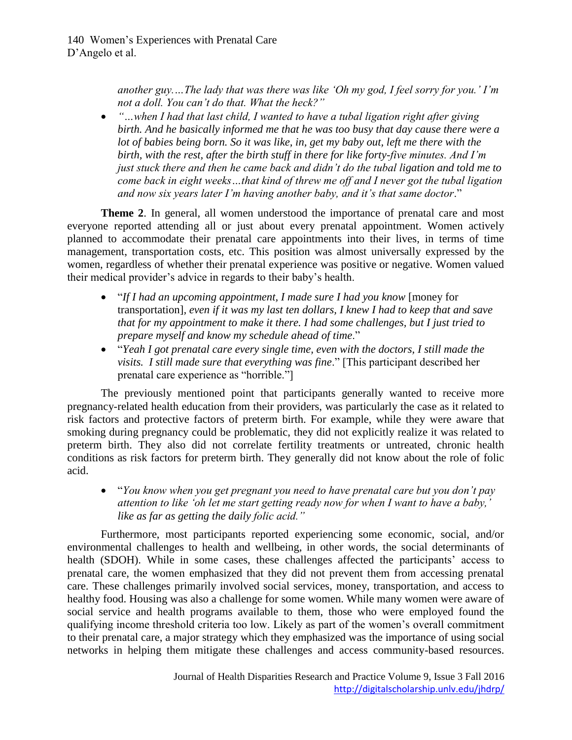*another guy.…The lady that was there was like 'Oh my god, I feel sorry for you.' I'm not a doll. You can't do that. What the heck?"*

 *"…when I had that last child, I wanted to have a tubal ligation right after giving birth. And he basically informed me that he was too busy that day cause there were a lot of babies being born. So it was like, in, get my baby out, left me there with the birth, with the rest, after the birth stuff in there for like forty-five minutes. And I'm just stuck there and then he came back and didn't do the tubal ligation and told me to come back in eight weeks…that kind of threw me off and I never got the tubal ligation and now six years later I'm having another baby, and it's that same doctor*."

**Theme 2**. In general, all women understood the importance of prenatal care and most everyone reported attending all or just about every prenatal appointment. Women actively planned to accommodate their prenatal care appointments into their lives, in terms of time management, transportation costs, etc. This position was almost universally expressed by the women, regardless of whether their prenatal experience was positive or negative. Women valued their medical provider's advice in regards to their baby's health.

- "*If I had an upcoming appointment, I made sure I had you know* [money for transportation]*, even if it was my last ten dollars, I knew I had to keep that and save that for my appointment to make it there. I had some challenges, but I just tried to prepare myself and know my schedule ahead of time*."
- "*Yeah I got prenatal care every single time, even with the doctors, I still made the visits. I still made sure that everything was fine*." [This participant described her prenatal care experience as "horrible."]

The previously mentioned point that participants generally wanted to receive more pregnancy-related health education from their providers, was particularly the case as it related to risk factors and protective factors of preterm birth. For example, while they were aware that smoking during pregnancy could be problematic, they did not explicitly realize it was related to preterm birth. They also did not correlate fertility treatments or untreated, chronic health conditions as risk factors for preterm birth. They generally did not know about the role of folic acid.

 "*You know when you get pregnant you need to have prenatal care but you don't pay attention to like 'oh let me start getting ready now for when I want to have a baby,' like as far as getting the daily folic acid."*

Furthermore, most participants reported experiencing some economic, social, and/or environmental challenges to health and wellbeing, in other words, the social determinants of health (SDOH). While in some cases, these challenges affected the participants' access to prenatal care, the women emphasized that they did not prevent them from accessing prenatal care. These challenges primarily involved social services, money, transportation, and access to healthy food. Housing was also a challenge for some women. While many women were aware of social service and health programs available to them, those who were employed found the qualifying income threshold criteria too low. Likely as part of the women's overall commitment to their prenatal care, a major strategy which they emphasized was the importance of using social networks in helping them mitigate these challenges and access community-based resources.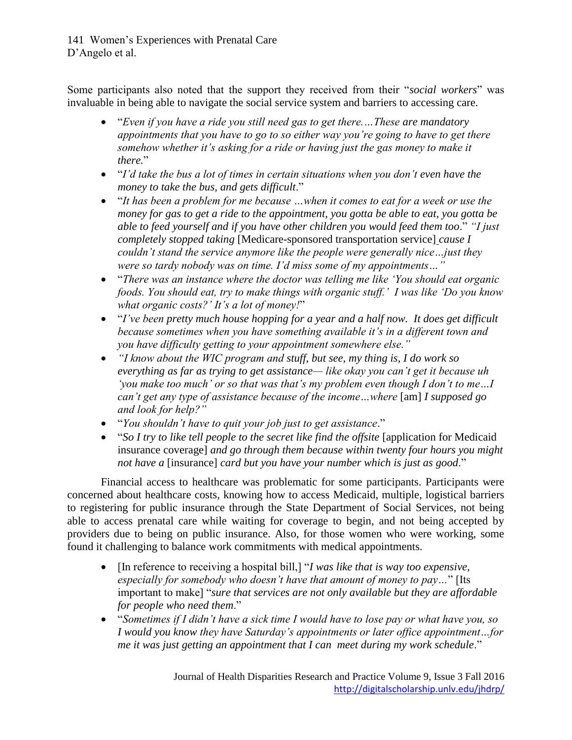Some participants also noted that the support they received from their "*social workers*" was invaluable in being able to navigate the social service system and barriers to accessing care.

- "*Even if you have a ride you still need gas to get there.…These are mandatory appointments that you have to go to so either way you're going to have to get there somehow whether it's asking for a ride or having just the gas money to make it there.*"
- "*I'd take the bus a lot of times in certain situations when you don't even have the money to take the bus, and gets difficult*."
- "*It has been a problem for me because …when it comes to eat for a week or use the money for gas to get a ride to the appointment, you gotta be able to eat, you gotta be able to feed yourself and if you have other children you would feed them too*." *"I just completely stopped taking* [Medicare-sponsored transportation service] *cause I couldn't stand the service anymore like the people were generally nice…just they were so tardy nobody was on time. I'd miss some of my appointments…"*
- "*There was an instance where the doctor was telling me like 'You should eat organic foods. You should eat, try to make things with organic stuff.' I was like 'Do you know what organic costs?' It's a lot of money!*"
- "*I've been pretty much house hopping for a year and a half now. It does get difficult because sometimes when you have something available it's in a different town and you have difficulty getting to your appointment somewhere else."*
- *"I know about the WIC program and stuff, but see, my thing is, I do work so everything as far as trying to get assistance— like okay you can't get it because uh 'you make too much' or so that was that's my problem even though I don't to me…I can't get any type of assistance because of the income…where* [am] *I supposed go and look for help?"*
- "*You shouldn't have to quit your job just to get assistance*."
- "*So I try to like tell people to the secret like find the offsite* [application for Medicaid insurance coverage] *and go through them because within twenty four hours you might not have a* [insurance] *card but you have your number which is just as good*."

Financial access to healthcare was problematic for some participants. Participants were concerned about healthcare costs, knowing how to access Medicaid, multiple, logistical barriers to registering for public insurance through the State Department of Social Services, not being able to access prenatal care while waiting for coverage to begin, and not being accepted by providers due to being on public insurance. Also, for those women who were working, some found it challenging to balance work commitments with medical appointments.

- [In reference to receiving a hospital bill,] "*I was like that is way too expensive, especially for somebody who doesn't have that amount of money to pay…*" [Its important to make] "*sure that services are not only available but they are affordable for people who need them*."
- "*Sometimes if I didn't have a sick time I would have to lose pay or what have you, so I would you know they have Saturday's appointments or later office appointment…for me it was just getting an appointment that I can meet during my work schedule*."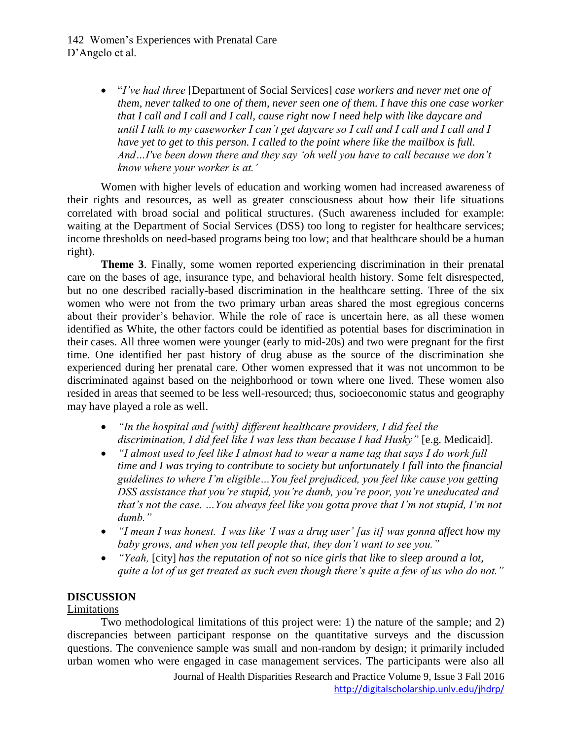"*I've had three* [Department of Social Services] *case workers and never met one of them, never talked to one of them, never seen one of them. I have this one case worker that I call and I call and I call, cause right now I need help with like daycare and until I talk to my caseworker I can't get daycare so I call and I call and I call and I have yet to get to this person. I called to the point where like the mailbox is full. And…I've been down there and they say 'oh well you have to call because we don't know where your worker is at.'* 

Women with higher levels of education and working women had increased awareness of their rights and resources, as well as greater consciousness about how their life situations correlated with broad social and political structures. (Such awareness included for example: waiting at the Department of Social Services (DSS) too long to register for healthcare services; income thresholds on need-based programs being too low; and that healthcare should be a human right).

**Theme 3**. Finally, some women reported experiencing discrimination in their prenatal care on the bases of age, insurance type, and behavioral health history. Some felt disrespected, but no one described racially-based discrimination in the healthcare setting. Three of the six women who were not from the two primary urban areas shared the most egregious concerns about their provider's behavior. While the role of race is uncertain here, as all these women identified as White, the other factors could be identified as potential bases for discrimination in their cases. All three women were younger (early to mid-20s) and two were pregnant for the first time. One identified her past history of drug abuse as the source of the discrimination she experienced during her prenatal care. Other women expressed that it was not uncommon to be discriminated against based on the neighborhood or town where one lived. These women also resided in areas that seemed to be less well-resourced; thus, socioeconomic status and geography may have played a role as well.

- *"In the hospital and [with] different healthcare providers, I did feel the discrimination, I did feel like I was less than because I had Husky"* [e.g. Medicaid].
- *"I almost used to feel like I almost had to wear a name tag that says I do work full time and I was trying to contribute to society but unfortunately I fall into the financial guidelines to where I'm eligible…You feel prejudiced, you feel like cause you getting DSS assistance that you're stupid, you're dumb, you're poor, you're uneducated and that's not the case. …You always feel like you gotta prove that I'm not stupid, I'm not dumb."*
- *"I mean I was honest. I was like 'I was a drug user' [as it] was gonna affect how my baby grows, and when you tell people that, they don't want to see you."*
- *"Yeah,* [city] *has the reputation of not so nice girls that like to sleep around a lot, quite a lot of us get treated as such even though there's quite a few of us who do not."*

## **DISCUSSION**

## Limitations

Two methodological limitations of this project were: 1) the nature of the sample; and 2) discrepancies between participant response on the quantitative surveys and the discussion questions. The convenience sample was small and non-random by design; it primarily included urban women who were engaged in case management services. The participants were also all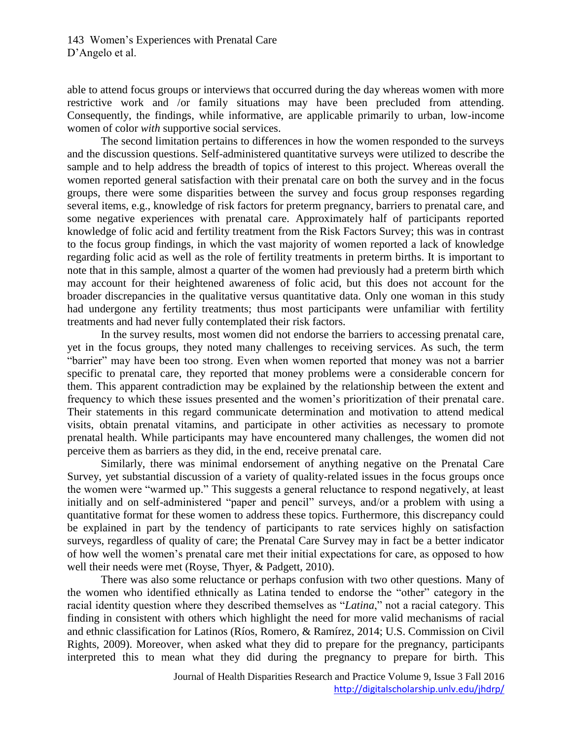able to attend focus groups or interviews that occurred during the day whereas women with more restrictive work and /or family situations may have been precluded from attending. Consequently, the findings, while informative, are applicable primarily to urban, low-income women of color *with* supportive social services.

The second limitation pertains to differences in how the women responded to the surveys and the discussion questions. Self-administered quantitative surveys were utilized to describe the sample and to help address the breadth of topics of interest to this project. Whereas overall the women reported general satisfaction with their prenatal care on both the survey and in the focus groups, there were some disparities between the survey and focus group responses regarding several items, e.g., knowledge of risk factors for preterm pregnancy, barriers to prenatal care, and some negative experiences with prenatal care. Approximately half of participants reported knowledge of folic acid and fertility treatment from the Risk Factors Survey; this was in contrast to the focus group findings, in which the vast majority of women reported a lack of knowledge regarding folic acid as well as the role of fertility treatments in preterm births. It is important to note that in this sample, almost a quarter of the women had previously had a preterm birth which may account for their heightened awareness of folic acid, but this does not account for the broader discrepancies in the qualitative versus quantitative data. Only one woman in this study had undergone any fertility treatments; thus most participants were unfamiliar with fertility treatments and had never fully contemplated their risk factors.

In the survey results, most women did not endorse the barriers to accessing prenatal care, yet in the focus groups, they noted many challenges to receiving services. As such, the term "barrier" may have been too strong. Even when women reported that money was not a barrier specific to prenatal care, they reported that money problems were a considerable concern for them. This apparent contradiction may be explained by the relationship between the extent and frequency to which these issues presented and the women's prioritization of their prenatal care. Their statements in this regard communicate determination and motivation to attend medical visits, obtain prenatal vitamins, and participate in other activities as necessary to promote prenatal health. While participants may have encountered many challenges, the women did not perceive them as barriers as they did, in the end, receive prenatal care.

Similarly, there was minimal endorsement of anything negative on the Prenatal Care Survey, yet substantial discussion of a variety of quality-related issues in the focus groups once the women were "warmed up." This suggests a general reluctance to respond negatively, at least initially and on self-administered "paper and pencil" surveys, and/or a problem with using a quantitative format for these women to address these topics. Furthermore, this discrepancy could be explained in part by the tendency of participants to rate services highly on satisfaction surveys, regardless of quality of care; the Prenatal Care Survey may in fact be a better indicator of how well the women's prenatal care met their initial expectations for care, as opposed to how well their needs were met (Royse, Thyer, & Padgett, 2010).

There was also some reluctance or perhaps confusion with two other questions. Many of the women who identified ethnically as Latina tended to endorse the "other" category in the racial identity question where they described themselves as "*Latina*," not a racial category. This finding in consistent with others which highlight the need for more valid mechanisms of racial and ethnic classification for Latinos (Ríos, Romero, & Ramírez, 2014; U.S. Commission on Civil Rights, 2009). Moreover, when asked what they did to prepare for the pregnancy, participants interpreted this to mean what they did during the pregnancy to prepare for birth. This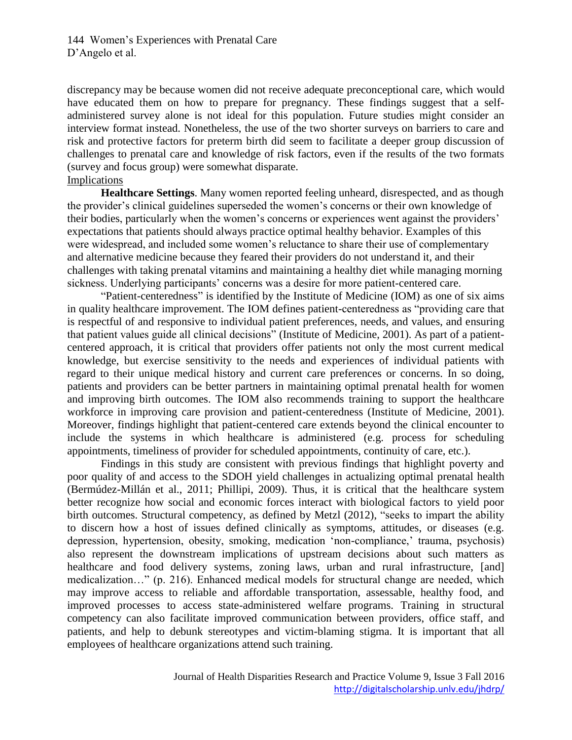discrepancy may be because women did not receive adequate preconceptional care, which would have educated them on how to prepare for pregnancy. These findings suggest that a selfadministered survey alone is not ideal for this population. Future studies might consider an interview format instead. Nonetheless, the use of the two shorter surveys on barriers to care and risk and protective factors for preterm birth did seem to facilitate a deeper group discussion of challenges to prenatal care and knowledge of risk factors, even if the results of the two formats (survey and focus group) were somewhat disparate. Implications

**Healthcare Settings**. Many women reported feeling unheard, disrespected, and as though the provider's clinical guidelines superseded the women's concerns or their own knowledge of their bodies, particularly when the women's concerns or experiences went against the providers' expectations that patients should always practice optimal healthy behavior. Examples of this were widespread, and included some women's reluctance to share their use of complementary and alternative medicine because they feared their providers do not understand it, and their challenges with taking prenatal vitamins and maintaining a healthy diet while managing morning sickness. Underlying participants' concerns was a desire for more patient-centered care.

"Patient-centeredness" is identified by the Institute of Medicine (IOM) as one of six aims in quality healthcare improvement. The IOM defines patient-centeredness as "providing care that is respectful of and responsive to individual patient preferences, needs, and values, and ensuring that patient values guide all clinical decisions" (Institute of Medicine, 2001). As part of a patientcentered approach, it is critical that providers offer patients not only the most current medical knowledge, but exercise sensitivity to the needs and experiences of individual patients with regard to their unique medical history and current care preferences or concerns. In so doing, patients and providers can be better partners in maintaining optimal prenatal health for women and improving birth outcomes. The IOM also recommends training to support the healthcare workforce in improving care provision and patient-centeredness (Institute of Medicine, 2001). Moreover, findings highlight that patient-centered care extends beyond the clinical encounter to include the systems in which healthcare is administered (e.g. process for scheduling appointments, timeliness of provider for scheduled appointments, continuity of care, etc.).

Findings in this study are consistent with previous findings that highlight poverty and poor quality of and access to the SDOH yield challenges in actualizing optimal prenatal health (Bermúdez-Millán et al., 2011; Phillipi, 2009). Thus, it is critical that the healthcare system better recognize how social and economic forces interact with biological factors to yield poor birth outcomes. Structural competency, as defined by Metzl (2012), "seeks to impart the ability to discern how a host of issues defined clinically as symptoms, attitudes, or diseases (e.g. depression, hypertension, obesity, smoking, medication 'non-compliance,' trauma, psychosis) also represent the downstream implications of upstream decisions about such matters as healthcare and food delivery systems, zoning laws, urban and rural infrastructure, [and] medicalization…" (p. 216). Enhanced medical models for structural change are needed, which may improve access to reliable and affordable transportation, assessable, healthy food, and improved processes to access state-administered welfare programs. Training in structural competency can also facilitate improved communication between providers, office staff, and patients, and help to debunk stereotypes and victim-blaming stigma. It is important that all employees of healthcare organizations attend such training.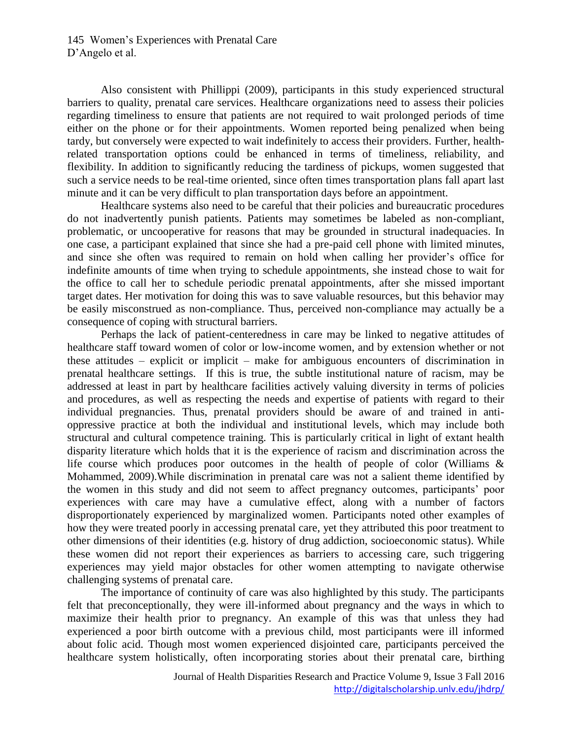Also consistent with Phillippi (2009), participants in this study experienced structural barriers to quality, prenatal care services. Healthcare organizations need to assess their policies regarding timeliness to ensure that patients are not required to wait prolonged periods of time either on the phone or for their appointments. Women reported being penalized when being tardy, but conversely were expected to wait indefinitely to access their providers. Further, healthrelated transportation options could be enhanced in terms of timeliness, reliability, and flexibility. In addition to significantly reducing the tardiness of pickups, women suggested that such a service needs to be real-time oriented, since often times transportation plans fall apart last minute and it can be very difficult to plan transportation days before an appointment.

Healthcare systems also need to be careful that their policies and bureaucratic procedures do not inadvertently punish patients. Patients may sometimes be labeled as non-compliant, problematic, or uncooperative for reasons that may be grounded in structural inadequacies. In one case, a participant explained that since she had a pre-paid cell phone with limited minutes, and since she often was required to remain on hold when calling her provider's office for indefinite amounts of time when trying to schedule appointments, she instead chose to wait for the office to call her to schedule periodic prenatal appointments, after she missed important target dates. Her motivation for doing this was to save valuable resources, but this behavior may be easily misconstrued as non-compliance. Thus, perceived non-compliance may actually be a consequence of coping with structural barriers.

Perhaps the lack of patient-centeredness in care may be linked to negative attitudes of healthcare staff toward women of color or low-income women, and by extension whether or not these attitudes – explicit or implicit – make for ambiguous encounters of discrimination in prenatal healthcare settings. If this is true, the subtle institutional nature of racism, may be addressed at least in part by healthcare facilities actively valuing diversity in terms of policies and procedures, as well as respecting the needs and expertise of patients with regard to their individual pregnancies. Thus, prenatal providers should be aware of and trained in antioppressive practice at both the individual and institutional levels, which may include both structural and cultural competence training. This is particularly critical in light of extant health disparity literature which holds that it is the experience of racism and discrimination across the life course which produces poor outcomes in the health of people of color (Williams & Mohammed, 2009).While discrimination in prenatal care was not a salient theme identified by the women in this study and did not seem to affect pregnancy outcomes, participants' poor experiences with care may have a cumulative effect, along with a number of factors disproportionately experienced by marginalized women. Participants noted other examples of how they were treated poorly in accessing prenatal care, yet they attributed this poor treatment to other dimensions of their identities (e.g. history of drug addiction, socioeconomic status). While these women did not report their experiences as barriers to accessing care, such triggering experiences may yield major obstacles for other women attempting to navigate otherwise challenging systems of prenatal care.

The importance of continuity of care was also highlighted by this study. The participants felt that preconceptionally, they were ill-informed about pregnancy and the ways in which to maximize their health prior to pregnancy. An example of this was that unless they had experienced a poor birth outcome with a previous child, most participants were ill informed about folic acid. Though most women experienced disjointed care, participants perceived the healthcare system holistically, often incorporating stories about their prenatal care, birthing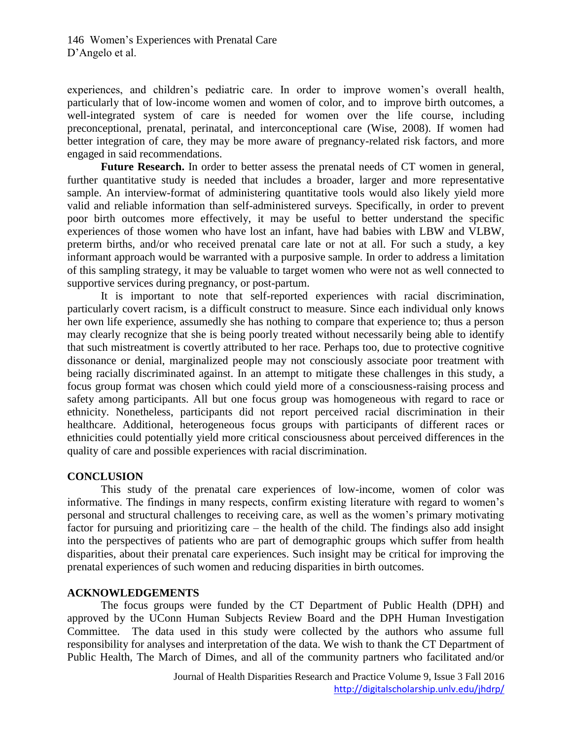experiences, and children's pediatric care. In order to improve women's overall health, particularly that of low-income women and women of color, and to improve birth outcomes, a well-integrated system of care is needed for women over the life course, including preconceptional, prenatal, perinatal, and interconceptional care (Wise, 2008). If women had better integration of care, they may be more aware of pregnancy-related risk factors, and more engaged in said recommendations.

Future Research. In order to better assess the prenatal needs of CT women in general, further quantitative study is needed that includes a broader, larger and more representative sample. An interview-format of administering quantitative tools would also likely yield more valid and reliable information than self-administered surveys. Specifically, in order to prevent poor birth outcomes more effectively, it may be useful to better understand the specific experiences of those women who have lost an infant, have had babies with LBW and VLBW, preterm births, and/or who received prenatal care late or not at all. For such a study, a key informant approach would be warranted with a purposive sample. In order to address a limitation of this sampling strategy, it may be valuable to target women who were not as well connected to supportive services during pregnancy, or post-partum.

It is important to note that self-reported experiences with racial discrimination, particularly covert racism, is a difficult construct to measure. Since each individual only knows her own life experience, assumedly she has nothing to compare that experience to; thus a person may clearly recognize that she is being poorly treated without necessarily being able to identify that such mistreatment is covertly attributed to her race. Perhaps too, due to protective cognitive dissonance or denial, marginalized people may not consciously associate poor treatment with being racially discriminated against. In an attempt to mitigate these challenges in this study, a focus group format was chosen which could yield more of a consciousness-raising process and safety among participants. All but one focus group was homogeneous with regard to race or ethnicity. Nonetheless, participants did not report perceived racial discrimination in their healthcare. Additional, heterogeneous focus groups with participants of different races or ethnicities could potentially yield more critical consciousness about perceived differences in the quality of care and possible experiences with racial discrimination.

#### **CONCLUSION**

This study of the prenatal care experiences of low-income, women of color was informative. The findings in many respects, confirm existing literature with regard to women's personal and structural challenges to receiving care, as well as the women's primary motivating factor for pursuing and prioritizing care – the health of the child. The findings also add insight into the perspectives of patients who are part of demographic groups which suffer from health disparities, about their prenatal care experiences. Such insight may be critical for improving the prenatal experiences of such women and reducing disparities in birth outcomes.

#### **ACKNOWLEDGEMENTS**

The focus groups were funded by the CT Department of Public Health (DPH) and approved by the UConn Human Subjects Review Board and the DPH Human Investigation Committee. The data used in this study were collected by the authors who assume full responsibility for analyses and interpretation of the data. We wish to thank the CT Department of Public Health, The March of Dimes, and all of the community partners who facilitated and/or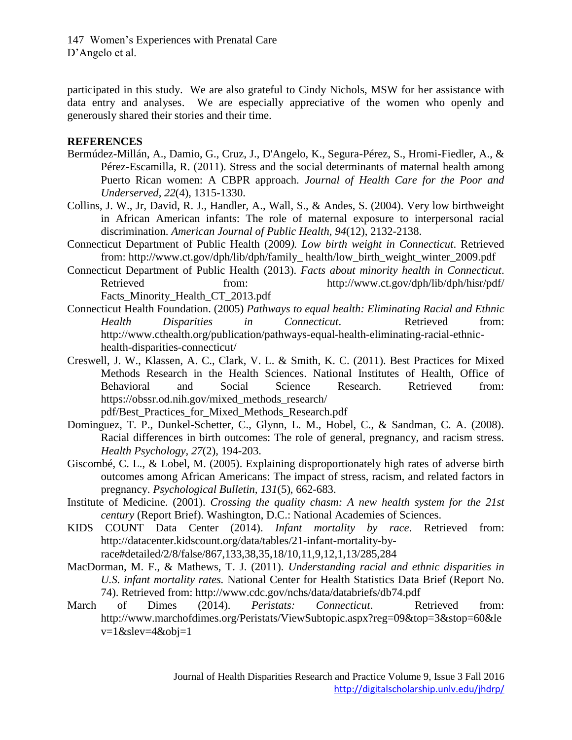participated in this study. We are also grateful to Cindy Nichols, MSW for her assistance with data entry and analyses. We are especially appreciative of the women who openly and generously shared their stories and their time.

#### **REFERENCES**

- Bermúdez-Millán, A., Damio, G., Cruz, J., D'Angelo, K., Segura-Pérez, S., Hromi-Fiedler, A., & Pérez-Escamilla, R. (2011). Stress and the social determinants of maternal health among Puerto Rican women: A CBPR approach. *Journal of Health Care for the Poor and Underserved, 22*(4), 1315-1330.
- Collins, J. W., Jr, David, R. J., Handler, A., Wall, S., & Andes, S. (2004). Very low birthweight in African American infants: The role of maternal exposure to interpersonal racial discrimination. *American Journal of Public Health, 94*(12), 2132-2138.
- Connecticut Department of Public Health (2009*). Low birth weight in Connecticut*. Retrieved from: [http://www.ct.gov/dph/lib/dph/family\\_ health/low\\_birth\\_weight\\_winter\\_2009.pdf](http://www.ct.gov/dph/lib/dph/family_%20health/low_birth_weight_winter_2009.pdf)
- Connecticut Department of Public Health (2013). *Facts about minority health in Connecticut*. Retrieved from: http://www.ct.gov/dph/lib/dph/hisr/pdf/ [Facts\\_Minority\\_Health\\_CT\\_2013.pdf](http://www.ct.gov/dph/lib/dph/hisr/pdf/%20Facts_Minority_Health_CT_2013.pdf)
- Connecticut Health Foundation. (2005) *Pathways to equal health: Eliminating Racial and Ethnic Health Disparities in Connecticut*. Retrieved from: [http://www.cthealth.org/publication/pathways-equal-health-eliminating-racial-ethnic](http://www.cthealth.org/publication/pathways-equal-health-eliminating-racial-ethnic-health-disparities-connecticut/)[health-disparities-connecticut/](http://www.cthealth.org/publication/pathways-equal-health-eliminating-racial-ethnic-health-disparities-connecticut/)
- Creswell, J. W., Klassen, A. C., Clark, V. L. & Smith, K. C. (2011). Best Practices for Mixed Methods Research in the Health Sciences. National Institutes of Health, Office of Behavioral and Social Science Research. Retrieved from: [https://obssr.od.nih.gov/mixed\\_methods\\_research/](https://obssr.od.nih.gov/mixed_methods_research/) pdf/Best\_Practices\_for\_Mixed\_Methods\_Research.pdf
- Dominguez, T. P., Dunkel-Schetter, C., Glynn, L. M., Hobel, C., & Sandman, C. A. (2008). Racial differences in birth outcomes: The role of general, pregnancy, and racism stress. *Health Psychology, 27*(2), 194-203.
- Giscombé, C. L., & Lobel, M. (2005). Explaining disproportionately high rates of adverse birth outcomes among African Americans: The impact of stress, racism, and related factors in pregnancy. *Psychological Bulletin, 131*(5), 662-683.
- Institute of Medicine. (2001). *Crossing the quality chasm: A new health system for the 21st century* (Report Brief). Washington, D.C.: National Academies of Sciences.
- KIDS COUNT Data Center (2014). *Infant mortality by race*. Retrieved from: [http://datacenter.kidscount.org/data/tables/21-infant-mortality-by](http://datacenter.kidscount.org/data/tables/21-infant-mortality-by-race#detailed/2/8/false/867,133,38,35,18/10,11,9,12,1,13/285,284)[race#detailed/2/8/false/867,133,38,35,18/10,11,9,12,1,13/285,284](http://datacenter.kidscount.org/data/tables/21-infant-mortality-by-race#detailed/2/8/false/867,133,38,35,18/10,11,9,12,1,13/285,284)
- MacDorman, M. F., & Mathews, T. J. (2011). *Understanding racial and ethnic disparities in U.S. infant mortality rates.* National Center for Health Statistics Data Brief (Report No. 74). Retrieved from:<http://www.cdc.gov/nchs/data/databriefs/db74.pdf>
- March of Dimes (2014). *Peristats: Connecticut*. Retrieved from: [http://www.marchofdimes.org/Peristats/ViewSubtopic.aspx?reg=09&top=3&stop=60&le](http://www.marchofdimes.org/Peristats/ViewSubtopic.aspx?reg=09&top=3&stop=60&lev=1&slev=4&obj=1)  $v=1$ &slev=4&obj=1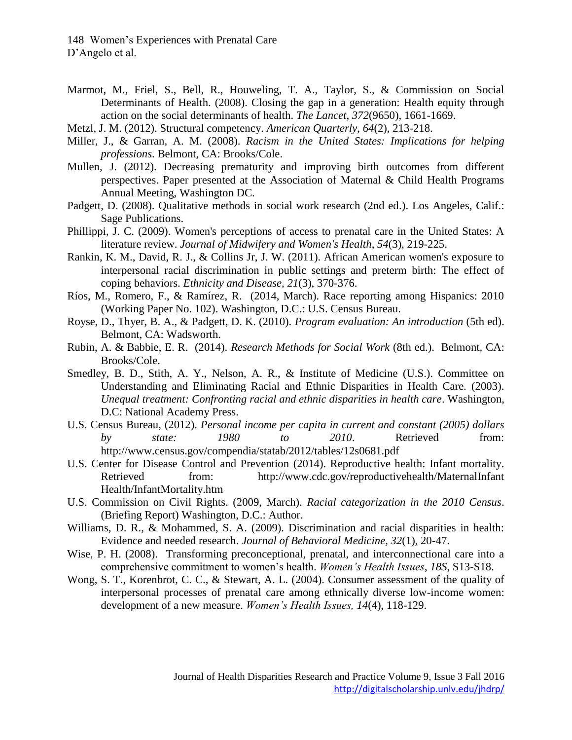- Marmot, M., Friel, S., Bell, R., Houweling, T. A., Taylor, S., & Commission on Social Determinants of Health. (2008). Closing the gap in a generation: Health equity through action on the social determinants of health. *The Lancet, 372*(9650), 1661-1669.
- Metzl, J. M. (2012). Structural competency. *American Quarterly, 64*(2), 213-218.
- Miller, J., & Garran, A. M. (2008). *Racism in the United States: Implications for helping professions*. Belmont, CA: Brooks/Cole.
- Mullen, J. (2012). Decreasing prematurity and improving birth outcomes from different perspectives. Paper presented at the Association of Maternal & Child Health Programs Annual Meeting, Washington DC.
- Padgett, D. (2008). Qualitative methods in social work research (2nd ed.). Los Angeles, Calif.: Sage Publications.
- Phillippi, J. C. (2009). Women's perceptions of access to prenatal care in the United States: A literature review. *Journal of Midwifery and Women's Health*, *54*(3), 219-225.
- Rankin, K. M., David, R. J., & Collins Jr, J. W. (2011). African American women's exposure to interpersonal racial discrimination in public settings and preterm birth: The effect of coping behaviors. *Ethnicity and Disease, 21*(3), 370-376.
- Ríos, M., Romero, F., & Ramírez, R. (2014, March). Race reporting among Hispanics: 2010 (Working Paper No. 102). Washington, D.C.: U.S. Census Bureau.
- Royse, D., Thyer, B. A., & Padgett, D. K. (2010). *Program evaluation: An introduction* (5th ed). Belmont, CA: Wadsworth.
- Rubin, A. & Babbie, E. R. (2014). *Research Methods for Social Work* (8th ed.). Belmont, CA: Brooks/Cole.
- Smedley, B. D., Stith, A. Y., Nelson, A. R., & Institute of Medicine (U.S.). Committee on Understanding and Eliminating Racial and Ethnic Disparities in Health Care. (2003). *Unequal treatment: Confronting racial and ethnic disparities in health care*. Washington, D.C: National Academy Press.
- U.S. Census Bureau, (2012). *Personal income per capita in current and constant (2005) dollars by state: 1980 to 2010*. Retrieved from: <http://www.census.gov/compendia/statab/2012/tables/12s0681.pdf>
- U.S. Center for Disease Control and Prevention (2014). Reproductive health: Infant mortality. Retrieved from: http://www.cdc.gov/reproductivehealth/MaternalInfant [Health/InfantMortality.htm](http://www.cdc.gov/reproductivehealth/MaternalInfant%20Health/InfantMortality.htm)
- U.S. Commission on Civil Rights. (2009, March). *Racial categorization in the 2010 Census*. (Briefing Report) Washington, D.C.: Author.
- Williams, D. R., & Mohammed, S. A. (2009). Discrimination and racial disparities in health: Evidence and needed research. *Journal of Behavioral Medicine, 32*(1), 20-47.
- Wise, P. H. (2008). Transforming preconceptional, prenatal, and interconnectional care into a comprehensive commitment to women's health. *Women's Health Issues*, *18S*, S13-S18.
- Wong, S. T., Korenbrot, C. C., & Stewart, A. L. (2004). Consumer assessment of the quality of interpersonal processes of prenatal care among ethnically diverse low-income women: development of a new measure. *Women's Health Issues, 14*(4), 118-129.